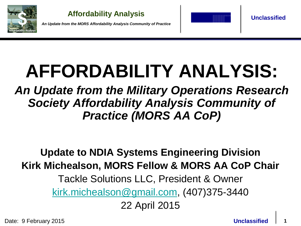

*An Update from the MORS Affordability Analysis Community of Practice*



**Unclassified**

# **AFFORDABILITY ANALYSIS:**

# *An Update from the Military Operations Research Society Affordability Analysis Community of Practice (MORS AA CoP)*

# **Update to NDIA Systems Engineering Division Kirk Michealson, MORS Fellow & MORS AA CoP Chair**

### Tackle Solutions LLC, President & Owner

[kirk.michealson@gmail.com](mailto:Kirk.michealson@gmail.com), (407)375-3440

22 April 2015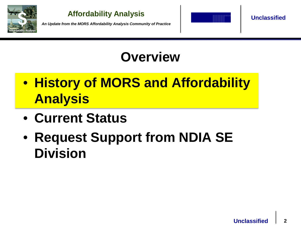

*An Update from the MORS Affordability Analysis Community of Practice*



**Unclassified**

# **Overview**

- **History of MORS and Affordability Analysis**
- **Current Status**
- **Request Support from NDIA SE Division**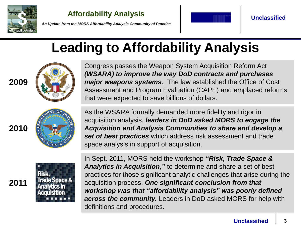



**Unclassified**

*An Update from the MORS Affordability Analysis Community of Practice*

# **Leading to Affordability Analysis**



Congress passes the Weapon System Acquisition Reform Act *(WSARA) to improve the way DoD contracts and purchases major weapons systems*. The law established the Office of Cost Assessment and Program Evaluation (CAPE) and emplaced reforms that were expected to save billions of dollars.

**2010**

**2011** 

**2009**



As the WSARA formally demanded more fidelity and rigor in acquisition analysis, *leaders in DoD asked MORS to engage the Acquisition and Analysis Communities to share and develop a set of best practices* which address risk assessment and trade space analysis in support of acquisition.



In Sept. 2011, MORS held the workshop *"Risk, Trade Space & Analytics in Acquisition,"* to determine and share a set of best practices for those significant analytic challenges that arise during the acquisition process. *One significant conclusion from that workshop was that "affordability analysis" was poorly defined across the community.* Leaders in DoD asked MORS for help with definitions and procedures.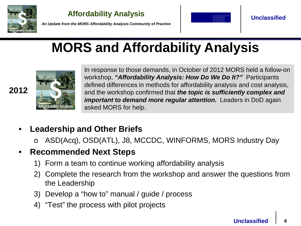

**2012**

**Affordability Analysis**



**Unclassified**

*An Update from the MORS Affordability Analysis Community of Practice*

# **MORS and Affordability Analysis**



In response to those demands, in October of 2012 MORS held a follow-on workshop, *"Affordability Analysis: How Do We Do It?"* Participants defined differences in methods for affordability analysis and cost analysis, and the workshop confirmed that *the topic is sufficiently complex and important to demand more regular attention. Leaders in DoD again* asked MORS for help.

### • **Leadership and Other Briefs**

o ASD(Acq), OSD(ATL), J8, MCCDC, WINFORMS, MORS Industry Day

### • **Recommended Next Steps**

- 1) Form a team to continue working affordability analysis
- 2) Complete the research from the workshop and answer the questions from the Leadership
- 3) Develop a "how to" manual / guide / process
- 4) "Test" the process with pilot projects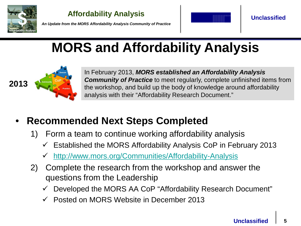



**Unclassified**

*An Update from the MORS Affordability Analysis Community of Practice*

# **MORS and Affordability Analysis**



In February 2013, *MORS established an Affordability Analysis Community of Practice* to meet regularly, complete unfinished items from the workshop, and build up the body of knowledge around affordability analysis with their "Affordability Research Document."

### • **Recommended Next Steps Completed**

- 1) Form a team to continue working affordability analysis
	- Established the MORS Affordability Analysis CoP in February 2013
	- <http://www.mors.org/Communities/Affordability-Analysis>
- 2) Complete the research from the workshop and answer the questions from the Leadership
	- Developed the MORS AA CoP "Affordability Research Document"
	- Posted on MORS Website in December 2013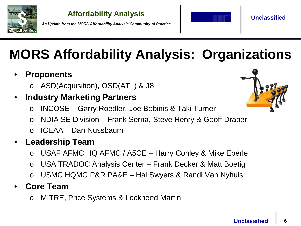

*An Update from the MORS Affordability Analysis Community of Practice*



**Unclassified**

# **MORS Affordability Analysis: Organizations**

### • **Proponents**

o ASD(Acquisition), OSD(ATL) & J8

### • **Industry Marketing Partners**

- o INCOSE Garry Roedler, Joe Bobinis & Taki Turner
- o NDIA SE Division Frank Serna, Steve Henry & Geoff Draper
- o ICEAA Dan Nussbaum
- **Leadership Team**
	- o USAF AFMC HQ AFMC / A5CE Harry Conley & Mike Eberle
	- o USA TRADOC Analysis Center Frank Decker & Matt Boetig
	- o USMC HQMC P&R PA&E Hal Swyers & Randi Van Nyhuis

### • **Core Team**

o MITRE, Price Systems & Lockheed Martin

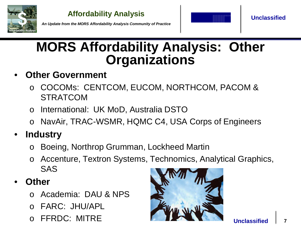



**Unclassified**

*An Update from the MORS Affordability Analysis Community of Practice*

# **MORS Affordability Analysis: Other Organizations**

### • **Other Government**

- o COCOMs: CENTCOM, EUCOM, NORTHCOM, PACOM & STRATCOM
- o International: UK MoD, Australia DSTO
- NavAir, TRAC-WSMR, HQMC C4, USA Corps of Engineers

# • **Industry**

- o Boeing, Northrop Grumman, Lockheed Martin
- o Accenture, Textron Systems, Technomics, Analytical Graphics, SAS

### • **Other**

- o Academia: DAU & NPS
- o FARC: JHU/APL
- o FFRDC: MITRE

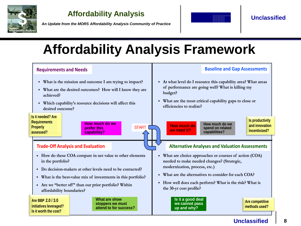

*An Update from the MORS Affordability Analysis Community of Practice*



**Unclassified**

# **Affordability Analysis Framework**



**Unclassified 8**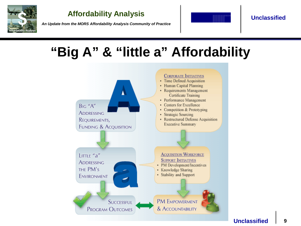

*An Update from the MORS Affordability Analysis Community of Practice*



**Unclassified**

# **"Big A" & "little a" Affordability**

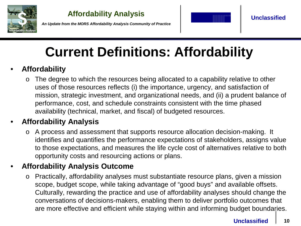

*An Update from the MORS Affordability Analysis Community of Practice*



# **Current Definitions: Affordability**

### • **Affordability**

o The degree to which the resources being allocated to a capability relative to other uses of those resources reflects (i) the importance, urgency, and satisfaction of mission, strategic investment, and organizational needs, and (ii) a prudent balance of performance, cost, and schedule constraints consistent with the time phased availability (technical, market, and fiscal) of budgeted resources.

### • **Affordability Analysis**

o A process and assessment that supports resource allocation decision-making. It identifies and quantifies the performance expectations of stakeholders, assigns value to those expectations, and measures the life cycle cost of alternatives relative to both opportunity costs and resourcing actions or plans.

### • **Affordability Analysis Outcome**

o Practically, affordability analyses must substantiate resource plans, given a mission scope, budget scope, while taking advantage of "good buys" and available offsets. Culturally, rewarding the practice and use of affordability analyses should change the conversations of decisions-makers, enabling them to deliver portfolio outcomes that are more effective and efficient while staying within and informing budget boundaries.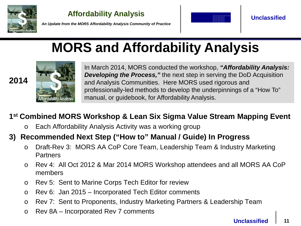

**2014**

**Affordability Analysis**



*An Update from the MORS Affordability Analysis Community of Practice*

# **MORS and Affordability Analysis**



In March 2014, MORS conducted the workshop, *"Affordability Analysis: Developing the Process,"* the next step in serving the DoD Acquisition and Analysis Communities. Here MORS used rigorous and professionally-led methods to develop the underpinnings of a "How To" manual, or guidebook, for Affordability Analysis.

### **1st Combined MORS Workshop & Lean Six Sigma Value Stream Mapping Event**

o Each Affordability Analysis Activity was a working group

### **3) Recommended Next Step ("How to" Manual / Guide) In Progress**

- o Draft-Rev 3: MORS AA CoP Core Team, Leadership Team & Industry Marketing **Partners**
- o Rev 4: All Oct 2012 & Mar 2014 MORS Workshop attendees and all MORS AA CoP members
- o Rev 5: Sent to Marine Corps Tech Editor for review
- o Rev 6: Jan 2015 Incorporated Tech Editor comments
- o Rev 7: Sent to Proponents, Industry Marketing Partners & Leadership Team
- o Rev 8A Incorporated Rev 7 comments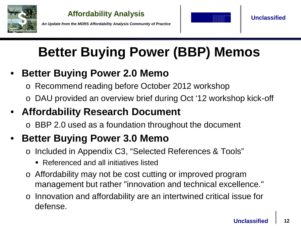

*An Update from the MORS Affordability Analysis Community of Practice*



**Unclassified**

# **Better Buying Power (BBP) Memos**

- **Better Buying Power 2.0 Memo** 
	- o Recommend reading before October 2012 workshop
	- o DAU provided an overview brief during Oct '12 workshop kick-off

### • **Affordability Research Document**

o BBP 2.0 used as a foundation throughout the document

# • **Better Buying Power 3.0 Memo**

- o Included in Appendix C3, "Selected References & Tools"
	- Referenced and all initiatives listed
- o Affordability may not be cost cutting or improved program management but rather "innovation and technical excellence."
- o Innovation and affordability are an intertwined critical issue for defense.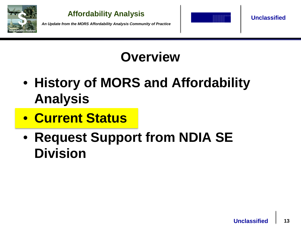

*An Update from the MORS Affordability Analysis Community of Practice*



**Unclassified**

# **Overview**

- **History of MORS and Affordability Analysis**
- **Current Status**
- **Request Support from NDIA SE Division**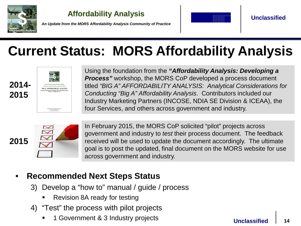

*An Update from the MORS Affordability Analysis Community of Practice*



**Unclassified**

# **Current Status: MORS Affordability Analysis**



Using the foundation from the *"Affordability Analysis: Developing a Process"* workshop, the MORS CoP developed a process document titled *"BIG A" AFFORDABILITY ANALYSIS: Analytical Considerations for Conducting "Big A" Affordability Analysis*. Contributors included our Industry Marketing Partners (INCOSE, NDIA SE Division & ICEAA), the four Services, and others across government and industry.



In February 2015, the MORS CoP solicited "pilot" projects across government and industry to *test* their process document. The feedback received will be used to update the document accordingly. The ultimate goal is to post the updated, final document on the MORS website for use across government and industry.

### • **Recommended Next Steps Status**

- 3) Develop a "how to" manual / guide / process
	- Revision 8A ready for testing
- 4) "Test" the process with pilot projects
	- 1 Government & 3 Industry projects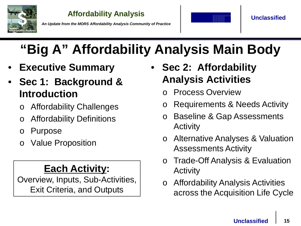

*An Update from the MORS Affordability Analysis Community of Practice*



# **"Big A" Affordability Analysis Main Body**

- **Executive Summary**
- **Sec 1: Background & Introduction**
	- Affordability Challenges
	- **Affordability Definitions**
	- o Purpose
	- Value Proposition

### **Each Activity:**

Overview, Inputs, Sub-Activities, Exit Criteria, and Outputs

- **Sec 2: Affordability Analysis Activities**
	- o Process Overview
	- o Requirements & Needs Activity
	- o Baseline & Gap Assessments Activity
	- o Alternative Analyses & Valuation Assessments Activity
	- o Trade-Off Analysis & Evaluation Activity
	- o Affordability Analysis Activities across the Acquisition Life Cycle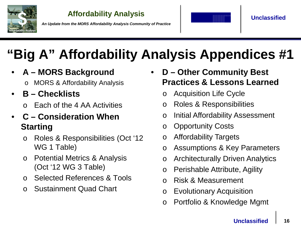

*An Update from the MORS Affordability Analysis Community of Practice*



# **"Big A" Affordability Analysis Appendices #1**

- **A – MORS Background**
	- o MORS & Affordability Analysis
- **B – Checklists**
	- Each of the 4 AA Activities

### • **C – Consideration When Starting**

- o Roles & Responsibilities (Oct '12 WG 1 Table)
- o Potential Metrics & Analysis (Oct '12 WG 3 Table)
- o Selected References & Tools
- o Sustainment Quad Chart
- **D – Other Community Best Practices & Lessons Learned**
	- o Acquisition Life Cycle
	- o Roles & Responsibilities
	- o Initial Affordability Assessment
	- o Opportunity Costs
	- o Affordability Targets
	- o Assumptions & Key Parameters
	- o Architecturally Driven Analytics
	- o Perishable Attribute, Agility
	- o Risk & Measurement
	- o Evolutionary Acquisition
	- o Portfolio & Knowledge Mgmt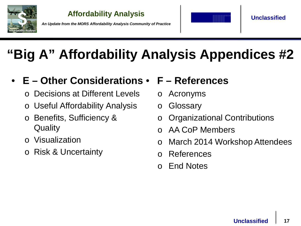

*An Update from the MORS Affordability Analysis Community of Practice*



**Unclassified**

# **"Big A" Affordability Analysis Appendices #2**

#### • **E – Other Considerations** • **F – References**

- Decisions at Different Levels
- Useful Affordability Analysis
- o Benefits, Sufficiency & **Quality**
- o Visualization
- o Risk & Uncertainty
- o Acronyms
- o Glossary
- o Organizational Contributions
- o AA CoP Members
- o March 2014 Workshop Attendees
- o References
- o End Notes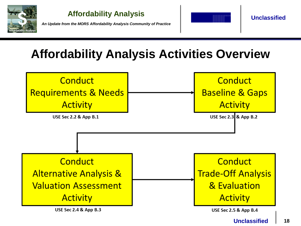

*An Update from the MORS Affordability Analysis Community of Practice*



**Unclassified**

# **Affordability Analysis Activities Overview**

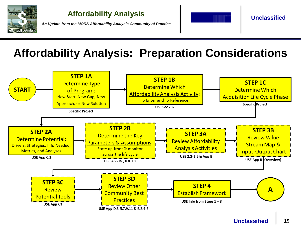

*An Update from the MORS Affordability Analysis Community of Practice*



**Unclassified**

# **Affordability Analysis: Preparation Considerations**

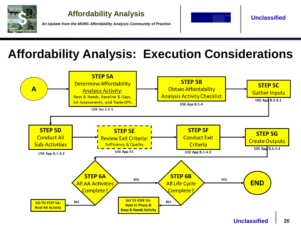

*An Update from the MORS Affordability Analysis Community of Practice*



**Unclassified**

# **Affordability Analysis: Execution Considerations**

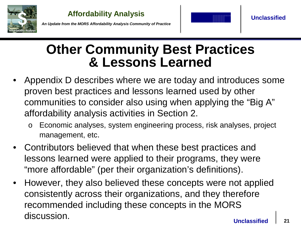



**Unclassified**

*An Update from the MORS Affordability Analysis Community of Practice*

# **Other Community Best Practices & Lessons Learned**

- Appendix D describes where we are today and introduces some proven best practices and lessons learned used by other communities to consider also using when applying the "Big A" affordability analysis activities in Section 2.
	- Economic analyses, system engineering process, risk analyses, project management, etc.
- Contributors believed that when these best practices and lessons learned were applied to their programs, they were "more affordable" (per their organization's definitions).
- However, they also believed these concepts were not applied consistently across their organizations, and they therefore recommended including these concepts in the MORS discussion.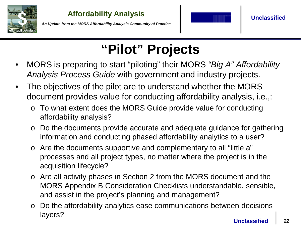



*An Update from the MORS Affordability Analysis Community of Practice*

# **"Pilot" Projects**

- MORS is preparing to start "piloting" their MORS *"Big A" Affordability Analysis Process Guide* with government and industry projects.
- The objectives of the pilot are to understand whether the MORS document provides value for conducting affordability analysis, i.e.,:
	- o To what extent does the MORS Guide provide value for conducting affordability analysis?
	- o Do the documents provide accurate and adequate guidance for gathering information and conducting phased affordability analytics to a user?
	- o Are the documents supportive and complementary to all "little a" processes and all project types, no matter where the project is in the acquisition lifecycle?
	- o Are all activity phases in Section 2 from the MORS document and the MORS Appendix B Consideration Checklists understandable, sensible, and assist in the project's planning and management?
	- o Do the affordability analytics ease communications between decisions layers?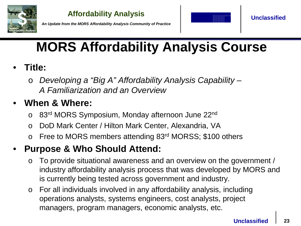



*An Update from the MORS Affordability Analysis Community of Practice*

# **MORS Affordability Analysis Course**

- **Title:**
	- o *Developing a "Big A" Affordability Analysis Capability A Familiarization and an Overview*

### • **When & Where:**

- o 83rd MORS Symposium, Monday afternoon June 22nd
- o DoD Mark Center / Hilton Mark Center, Alexandria, VA
- o Free to MORS members attending 83rd MORSS; \$100 others

### • **Purpose & Who Should Attend:**

- o To provide situational awareness and an overview on the government / industry affordability analysis process that was developed by MORS and is currently being tested across government and industry.
- o For all individuals involved in any affordability analysis, including operations analysts, systems engineers, cost analysts, project managers, program managers, economic analysts, etc.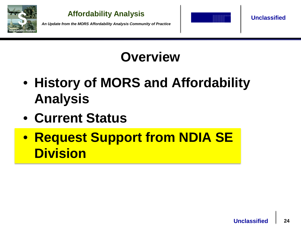

*An Update from the MORS Affordability Analysis Community of Practice*



**Unclassified**

# **Overview**

- **History of MORS and Affordability Analysis**
- **Current Status**
- **Request Support from NDIA SE Division**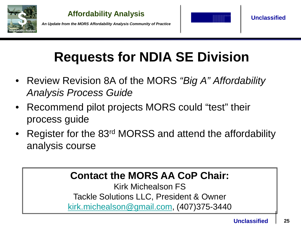





# **Requests for NDIA SE Division**

- Review Revision 8A of the MORS *"Big A" Affordability Analysis Process Guide*
- Recommend pilot projects MORS could "test" their process guide
- Register for the 83rd MORSS and attend the affordability analysis course

### **Contact the MORS AA CoP Chair:**

Kirk Michealson FS Tackle Solutions LLC, President & Owner [kirk.michealson@gmail.com](mailto:kirk.michealson@gmail.com), (407)375-3440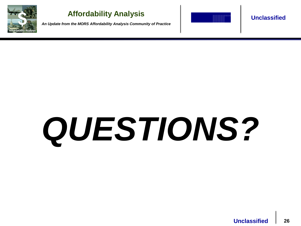

*An Update from the MORS Affordability Analysis Community of Practice*



#### **Unclassified**

# *QUESTIONS?*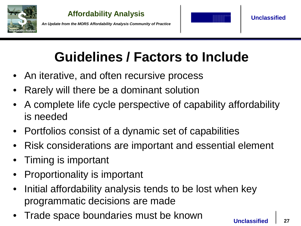

*An Update from the MORS Affordability Analysis Community of Practice*



**Unclassified**

# **Guidelines / Factors to Include**

- An iterative, and often recursive process
- Rarely will there be a dominant solution
- A complete life cycle perspective of capability affordability is needed
- Portfolios consist of a dynamic set of capabilities
- Risk considerations are important and essential element
- Timing is important
- Proportionality is important
- Initial affordability analysis tends to be lost when key programmatic decisions are made
- Trade space boundaries must be known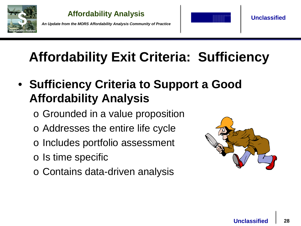

*An Update from the MORS Affordability Analysis Community of Practice*



**Unclassified**

# **Affordability Exit Criteria: Sufficiency**

- **Sufficiency Criteria to Support a Good Affordability Analysis**
	- o Grounded in a value proposition
	- o Addresses the entire life cycle
	- o Includes portfolio assessment
	- o Is time specific
	- o Contains data-driven analysis

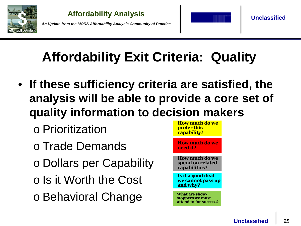





**Unclassified**

# **Affordability Exit Criteria: Quality**

- **If these sufficiency criteria are satisfied, the analysis will be able to provide a core set of quality information to decision makers**
	- o Prioritization
	- o Trade Demands
	- o Dollars per Capability
	- o Is it Worth the Cost
	- o Behavioral Change